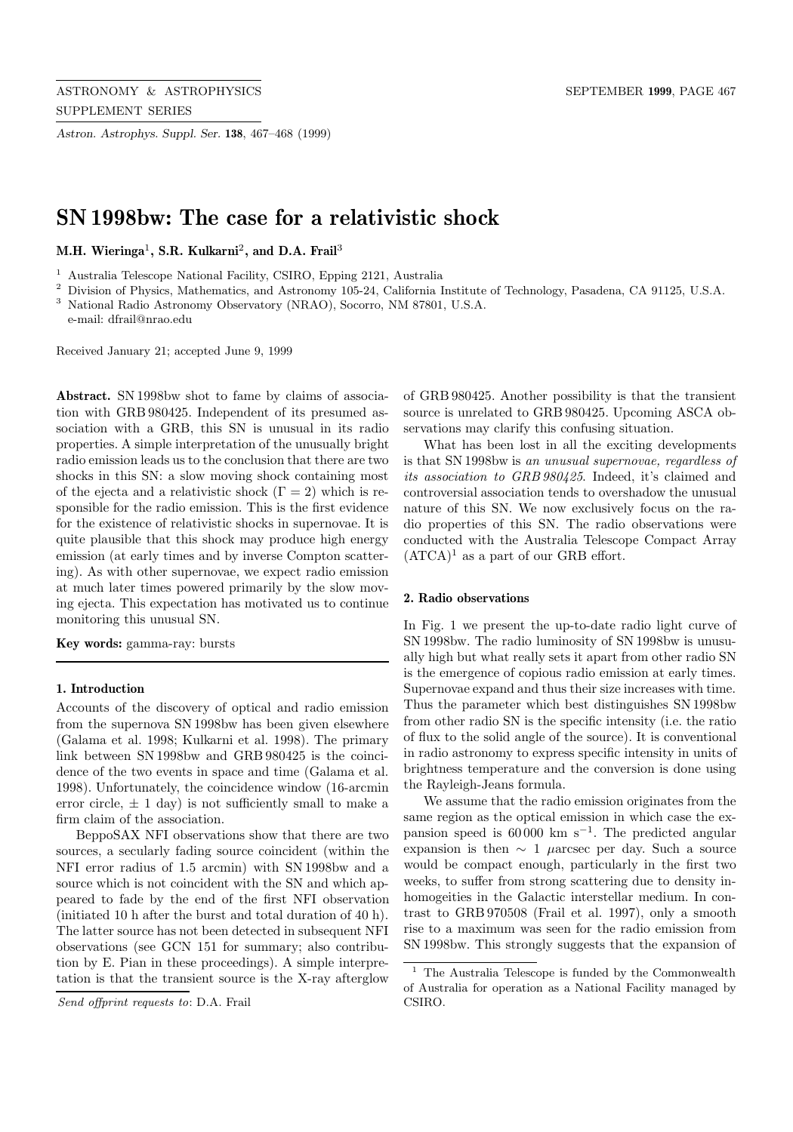*Astron. Astrophys. Suppl. Ser.* **138**, 467–468 (1999)

# **SN 1998bw: The case for a relativistic shock**

**M.H. Wieringa**<sup>1</sup>**, S.R. Kulkarni**<sup>2</sup>**, and D.A. Frail**<sup>3</sup>

<sup>1</sup> Australia Telescope National Facility, CSIRO, Epping 2121, Australia

<sup>2</sup> Division of Physics, Mathematics, and Astronomy 105-24, California Institute of Technology, Pasadena, CA 91125, U.S.A. <sup>3</sup> National Radio Astronomy Observatory (NRAO), Socorro, NM 87801, U.S.A.

e-mail: dfrail@nrao.edu

Received January 21; accepted June 9, 1999

**Abstract.** SN 1998bw shot to fame by claims of association with GRB 980425. Independent of its presumed association with a GRB, this SN is unusual in its radio properties. A simple interpretation of the unusually bright radio emission leads us to the conclusion that there are two shocks in this SN: a slow moving shock containing most of the ejecta and a relativistic shock  $(\Gamma = 2)$  which is responsible for the radio emission. This is the first evidence for the existence of relativistic shocks in supernovae. It is quite plausible that this shock may produce high energy emission (at early times and by inverse Compton scattering). As with other supernovae, we expect radio emission at much later times powered primarily by the slow moving ejecta. This expectation has motivated us to continue monitoring this unusual SN.

**Key words:** gamma-ray: bursts

#### **1. Introduction**

Accounts of the discovery of optical and radio emission from the supernova SN 1998bw has been given elsewhere (Galama et al. 1998; Kulkarni et al. 1998). The primary link between SN 1998bw and GRB 980425 is the coincidence of the two events in space and time (Galama et al. 1998). Unfortunately, the coincidence window (16-arcmin error circle,  $\pm$  1 day) is not sufficiently small to make a firm claim of the association.

BeppoSAX NFI observations show that there are two sources, a secularly fading source coincident (within the NFI error radius of 1.5 arcmin) with SN 1998bw and a source which is not coincident with the SN and which appeared to fade by the end of the first NFI observation (initiated 10 h after the burst and total duration of 40 h). The latter source has not been detected in subsequent NFI observations (see GCN 151 for summary; also contribution by E. Pian in these proceedings). A simple interpretation is that the transient source is the X-ray afterglow

Send offprint requests to: D.A. Frail

of GRB 980425. Another possibility is that the transient source is unrelated to GRB 980425. Upcoming ASCA observations may clarify this confusing situation.

What has been lost in all the exciting developments is that SN 1998bw is an unusual supernovae, regardless of its association to GRB 980425. Indeed, it's claimed and controversial association tends to overshadow the unusual nature of this SN. We now exclusively focus on the radio properties of this SN. The radio observations were conducted with the Australia Telescope Compact Array  $(ATCA)^1$  as a part of our GRB effort.

#### **2. Radio observations**

In Fig. 1 we present the up-to-date radio light curve of SN 1998bw. The radio luminosity of SN 1998bw is unusually high but what really sets it apart from other radio SN is the emergence of copious radio emission at early times. Supernovae expand and thus their size increases with time. Thus the parameter which best distinguishes SN 1998bw from other radio SN is the specific intensity (i.e. the ratio of flux to the solid angle of the source). It is conventional in radio astronomy to express specific intensity in units of brightness temperature and the conversion is done using the Rayleigh-Jeans formula.

We assume that the radio emission originates from the same region as the optical emission in which case the expansion speed is  $60000 \text{ km s}^{-1}$ . The predicted angular expansion is then  $\sim 1$  µarcsec per day. Such a source would be compact enough, particularly in the first two weeks, to suffer from strong scattering due to density inhomogeities in the Galactic interstellar medium. In contrast to GRB 970508 (Frail et al. 1997), only a smooth rise to a maximum was seen for the radio emission from SN 1998bw. This strongly suggests that the expansion of

 $^{\rm 1}$  The Australia Telescope is funded by the Commonwealth of Australia for operation as a National Facility managed by CSIRO.